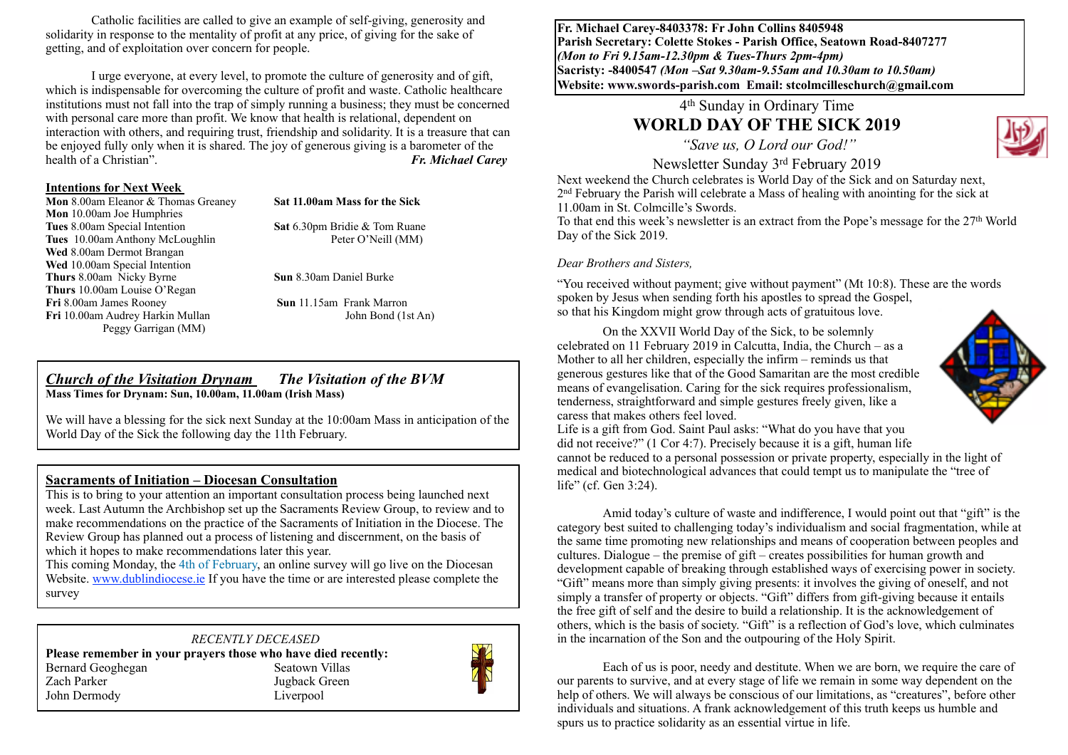Catholic facilities are called to give an example of self-giving, generosity and solidarity in response to the mentality of profit at any price, of giving for the sake of getting, and of exploitation over concern for people.

I urge everyone, at every level, to promote the culture of generosity and of gift, which is indispensable for overcoming the culture of profit and waste. Catholic healthcare institutions must not fall into the trap of simply running a business; they must be concerned with personal care more than profit. We know that health is relational, dependent on interaction with others, and requiring trust, friendship and solidarity. It is a treasure that can be enjoyed fully only when it is shared. The joy of generous giving is a barometer of the health of a Christian". *Fr. Michael Carey*

#### **Intentions for Next Week**

**Mon** 8.00am Eleanor & Thomas Greaney **Sat 11.00am Mass for the Sick Mon** 10.00am Joe Humphries<br>**Tues** 8.00am Special Intention **Tues** 10.00am Anthony McLoughlin Peter O'Neill (MM) Wed 8.00am Dermot Brangan Wed 10.00am Special Intention **Thurs** 8.00am Nicky Byrne **Sun** 8.30am Daniel Burke **Thurs** 10.00am Louise O'Regan **Fri** 8.00am James Rooney **Sun** 11.15am Frank Marron Fri 10.00am Audrey Harkin Mullan John Bond (1st An) Peggy Garrigan (MM)

**Sat** 6.30pm Bridie & Tom Ruane

#### *Church of the Visitation Drynam**The Visitation of the BVM* **Mass Times for Drynam: Sun, 10.00am, 11.00am (Irish Mass)**

We will have a blessing for the sick next Sunday at the 10:00am Mass in anticipation of the World Day of the Sick the following day the 11th February.

#### **Sacraments of Initiation – Diocesan Consultation**

This is to bring to your attention an important consultation process being launched next week. Last Autumn the Archbishop set up the Sacraments Review Group, to review and to make recommendations on the practice of the Sacraments of Initiation in the Diocese. The Review Group has planned out a process of listening and discernment, on the basis of which it hopes to make recommendations later this year.

This coming Monday, the 4th of February, an online survey will go live on the Diocesan Website. [www.dublindiocese.ie](http://www.dublindiocese.ie) If you have the time or are interested please complete the survey

### *RECENTLY DECEASED*

**Please remember in your prayers those who have died recently:** Bernard Geoghegan Seatown Villas Zach Parker Jugback Green John Dermody Liverpool



**Fr. Michael Carey-8403378: Fr John Collins 8405948 Parish Secretary: Colette Stokes - Parish Office, Seatown Road-8407277**  *(Mon to Fri 9.15am-12.30pm & Tues-Thurs 2pm-4pm)*  **Sacristy: -8400547** *(Mon –Sat 9.30am-9.55am and 10.30am to 10.50am)* **Website: [www.swords-parish.com Email:](http://www.swords-parish.com%20%20email) stcolmcilleschurch@gmail.com**

## 4th Sunday in Ordinary Time **WORLD DAY OF THE SICK 2019**

 *"Save us, O Lord our God!"* 



Newsletter Sunday 3rd February 2019

Next weekend the Church celebrates is World Day of the Sick and on Saturday next, 2nd February the Parish will celebrate a Mass of healing with anointing for the sick at 11.00am in St. Colmcille's Swords.

To that end this week's newsletter is an extract from the Pope's message for the 27th World Day of the Sick 2019.

#### *Dear Brothers and Sisters,*

"You received without payment; give without payment" (Mt 10:8). These are the words spoken by Jesus when sending forth his apostles to spread the Gospel, so that his Kingdom might grow through acts of gratuitous love.

On the XXVII World Day of the Sick, to be solemnly celebrated on 11 February 2019 in Calcutta, India, the Church – as a Mother to all her children, especially the infirm – reminds us that generous gestures like that of the Good Samaritan are the most credible means of evangelisation. Caring for the sick requires professionalism, tenderness, straightforward and simple gestures freely given, like a caress that makes others feel loved.



Life is a gift from God. Saint Paul asks: "What do you have that you did not receive?" (1 Cor 4:7). Precisely because it is a gift, human life cannot be reduced to a personal possession or private property, especially in the light of medical and biotechnological advances that could tempt us to manipulate the "tree of life" (cf. Gen 3:24).

Amid today's culture of waste and indifference, I would point out that "gift" is the category best suited to challenging today's individualism and social fragmentation, while at the same time promoting new relationships and means of cooperation between peoples and cultures. Dialogue – the premise of gift – creates possibilities for human growth and development capable of breaking through established ways of exercising power in society. "Gift" means more than simply giving presents: it involves the giving of oneself, and not simply a transfer of property or objects. "Gift" differs from gift-giving because it entails the free gift of self and the desire to build a relationship. It is the acknowledgement of others, which is the basis of society. "Gift" is a reflection of God's love, which culminates in the incarnation of the Son and the outpouring of the Holy Spirit.

Each of us is poor, needy and destitute. When we are born, we require the care of our parents to survive, and at every stage of life we remain in some way dependent on the help of others. We will always be conscious of our limitations, as "creatures", before other individuals and situations. A frank acknowledgement of this truth keeps us humble and spurs us to practice solidarity as an essential virtue in life.